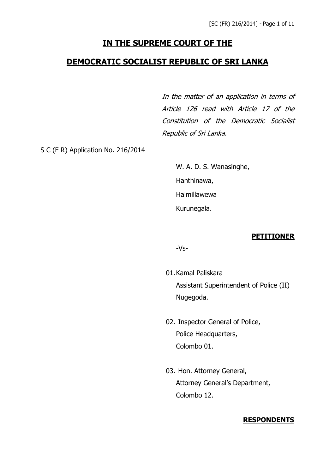# **IN THE SUPREME COURT OF THE**

# **DEMOCRATIC SOCIALIST REPUBLIC OF SRI LANKA**

In the matter of an application in terms of Article 126 read with Article 17 of the Constitution of the Democratic Socialist Republic of Sri Lanka.

S C (F R) Application No. 216/2014

W. A. D. S. Wanasinghe, Hanthinawa, Halmillawewa Kurunegala.

#### **PETITIONER**

-Vs-

- 01.Kamal Paliskara Assistant Superintendent of Police (II) Nugegoda.
- 02. Inspector General of Police, Police Headquarters, Colombo 01.
- 03. Hon. Attorney General, Attorney General's Department, Colombo 12.

#### **RESPONDENTS**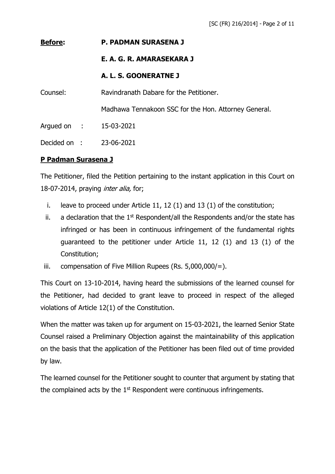#### **Before: P. PADMAN SURASENA J**

#### **E. A. G. R. AMARASEKARA J**

#### **A. L. S. GOONERATNE J**

Counsel: Ravindranath Dabare for the Petitioner.

Madhawa Tennakoon SSC for the Hon. Attorney General.

Argued on : 15-03-2021

Decided on : 23-06-2021

## **P Padman Surasena J**

The Petitioner, filed the Petition pertaining to the instant application in this Court on 18-07-2014, praying *inter alia*, for;

- i. leave to proceed under Article 11, 12 (1) and 13 (1) of the constitution;
- ii. a declaration that the  $1<sup>st</sup>$  Respondent/all the Respondents and/or the state has infringed or has been in continuous infringement of the fundamental rights guaranteed to the petitioner under Article 11, 12 (1) and 13 (1) of the Constitution;
- iii. compensation of Five Million Rupees (Rs.  $5,000,000/=$ ).

This Court on 13-10-2014, having heard the submissions of the learned counsel for the Petitioner, had decided to grant leave to proceed in respect of the alleged violations of Article 12(1) of the Constitution.

When the matter was taken up for argument on 15-03-2021, the learned Senior State Counsel raised a Preliminary Objection against the maintainability of this application on the basis that the application of the Petitioner has been filed out of time provided by law.

The learned counsel for the Petitioner sought to counter that argument by stating that the complained acts by the  $1<sup>st</sup>$  Respondent were continuous infringements.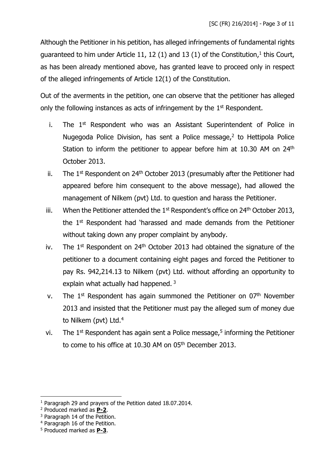Although the Petitioner in his petition, has alleged infringements of fundamental rights guaranteed to him under Article 11, 12 (1) and 13 (1) of the Constitution,<sup>1</sup> this Court, as has been already mentioned above, has granted leave to proceed only in respect of the alleged infringements of Article 12(1) of the Constitution.

Out of the averments in the petition, one can observe that the petitioner has alleged only the following instances as acts of infringement by the  $1<sup>st</sup>$  Respondent.

- i. The  $1<sup>st</sup>$  Respondent who was an Assistant Superintendent of Police in Nugegoda Police Division, has sent a Police message,<sup>2</sup> to Hettipola Police Station to inform the petitioner to appear before him at 10.30 AM on 24<sup>th</sup> October 2013.
- ii. The  $1^{st}$  Respondent on  $24^{th}$  October 2013 (presumably after the Petitioner had appeared before him consequent to the above message), had allowed the management of Nilkem (pvt) Ltd. to question and harass the Petitioner.
- iii. When the Petitioner attended the  $1<sup>st</sup>$  Respondent's office on  $24<sup>th</sup>$  October 2013, the 1st Respondent had 'harassed and made demands from the Petitioner without taking down any proper complaint by anybody.
- iv. The  $1<sup>st</sup>$  Respondent on  $24<sup>th</sup>$  October 2013 had obtained the signature of the petitioner to a document containing eight pages and forced the Petitioner to pay Rs. 942,214.13 to Nilkem (pvt) Ltd. without affording an opportunity to explain what actually had happened.<sup>3</sup>
- v. The  $1<sup>st</sup>$  Respondent has again summoned the Petitioner on  $0<sup>th</sup>$  November 2013 and insisted that the Petitioner must pay the alleged sum of money due to Nilkem (pvt) Ltd.<sup>4</sup>
- vi. The  $1<sup>st</sup>$  Respondent has again sent a Police message, $5$  informing the Petitioner to come to his office at 10.30 AM on 05<sup>th</sup> December 2013.

<sup>&</sup>lt;sup>1</sup> Paragraph 29 and prayers of the Petition dated 18.07.2014.

<sup>2</sup> Produced marked as **P-2**.

<sup>&</sup>lt;sup>3</sup> Paragraph 14 of the Petition.

<sup>4</sup> Paragraph 16 of the Petition.

<sup>5</sup> Produced marked as **P-3**.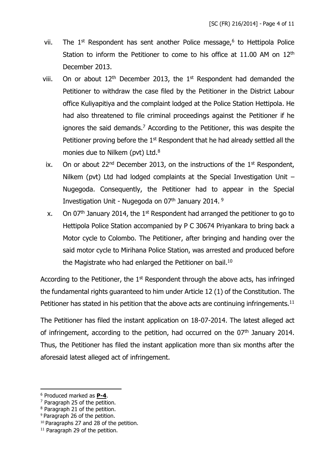- vii. The  $1<sup>st</sup>$  Respondent has sent another Police message, $<sup>6</sup>$  to Hettipola Police</sup> Station to inform the Petitioner to come to his office at  $11.00$  AM on  $12<sup>th</sup>$ December 2013.
- viii. On or about  $12<sup>th</sup>$  December 2013, the 1<sup>st</sup> Respondent had demanded the Petitioner to withdraw the case filed by the Petitioner in the District Labour office Kuliyapitiya and the complaint lodged at the Police Station Hettipola. He had also threatened to file criminal proceedings against the Petitioner if he ignores the said demands.<sup>7</sup> According to the Petitioner, this was despite the Petitioner proving before the  $1<sup>st</sup>$  Respondent that he had already settled all the monies due to Nilkem (pvt) Ltd.<sup>8</sup>
	- ix. On or about 22<sup>nd</sup> December 2013, on the instructions of the  $1<sup>st</sup>$  Respondent, Nilkem (pvt) Ltd had lodged complaints at the Special Investigation Unit – Nugegoda. Consequently, the Petitioner had to appear in the Special Investigation Unit - Nugegoda on 07<sup>th</sup> January 2014.<sup>9</sup>
	- x. On 07<sup>th</sup> January 2014, the 1<sup>st</sup> Respondent had arranged the petitioner to go to Hettipola Police Station accompanied by P C 30674 Priyankara to bring back a Motor cycle to Colombo. The Petitioner, after bringing and handing over the said motor cycle to Mirihana Police Station, was arrested and produced before the Magistrate who had enlarged the Petitioner on bail.<sup>10</sup>

According to the Petitioner, the  $1<sup>st</sup>$  Respondent through the above acts, has infringed the fundamental rights guaranteed to him under Article 12 (1) of the Constitution. The Petitioner has stated in his petition that the above acts are continuing infringements.<sup>11</sup>

The Petitioner has filed the instant application on 18-07-2014. The latest alleged act of infringement, according to the petition, had occurred on the 07<sup>th</sup> January 2014. Thus, the Petitioner has filed the instant application more than six months after the aforesaid latest alleged act of infringement.

<sup>10</sup> Paragraphs 27 and 28 of the petition.

<sup>6</sup> Produced marked as **P-4**.

<sup>7</sup> Paragraph 25 of the petition.

<sup>8</sup> Paragraph 21 of the petition.

<sup>9</sup> Paragraph 26 of the petition.

<sup>&</sup>lt;sup>11</sup> Paragraph 29 of the petition.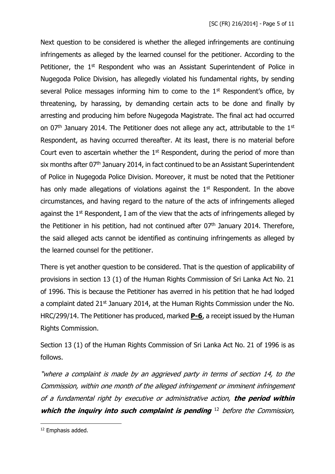Next question to be considered is whether the alleged infringements are continuing infringements as alleged by the learned counsel for the petitioner. According to the Petitioner, the 1<sup>st</sup> Respondent who was an Assistant Superintendent of Police in Nugegoda Police Division, has allegedly violated his fundamental rights, by sending several Police messages informing him to come to the  $1<sup>st</sup>$  Respondent's office, by threatening, by harassing, by demanding certain acts to be done and finally by arresting and producing him before Nugegoda Magistrate. The final act had occurred on  $07<sup>th</sup>$  January 2014. The Petitioner does not allege any act, attributable to the  $1<sup>st</sup>$ Respondent, as having occurred thereafter. At its least, there is no material before Court even to ascertain whether the  $1<sup>st</sup>$  Respondent, during the period of more than six months after 07<sup>th</sup> January 2014, in fact continued to be an Assistant Superintendent of Police in Nugegoda Police Division. Moreover, it must be noted that the Petitioner has only made allegations of violations against the  $1<sup>st</sup>$  Respondent. In the above circumstances, and having regard to the nature of the acts of infringements alleged against the  $1<sup>st</sup>$  Respondent, I am of the view that the acts of infringements alleged by the Petitioner in his petition, had not continued after  $07<sup>th</sup>$  January 2014. Therefore, the said alleged acts cannot be identified as continuing infringements as alleged by the learned counsel for the petitioner.

There is yet another question to be considered. That is the question of applicability of provisions in section 13 (1) of the Human Rights Commission of Sri Lanka Act No. 21 of 1996. This is because the Petitioner has averred in his petition that he had lodged a complaint dated 21<sup>st</sup> January 2014, at the Human Rights Commission under the No. HRC/299/14. The Petitioner has produced, marked **P-6**, a receipt issued by the Human Rights Commission.

Section 13 (1) of the Human Rights Commission of Sri Lanka Act No. 21 of 1996 is as follows.

"wher<sup>e</sup> a complaint is made by an aggrieved party in terms of section 14, to the Commission, within one month of the alleged infringement or imminent infringement of a fundamental right by executive or administrative action, **the period within**  which the inquiry into such complaint is pending <sup>12</sup> before the Commission,

<sup>12</sup> Emphasis added.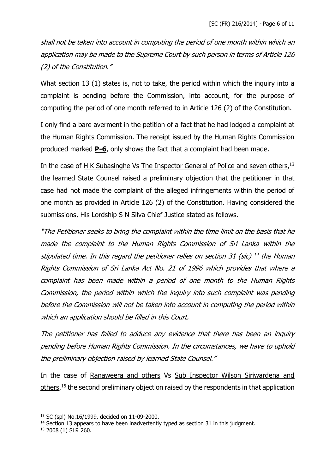shall not be taken into account in computing the period of one month within which an application may be made to the Supreme Court by such person in terms of Article 126 (2) of the Constitution."

What section 13 (1) states is, not to take, the period within which the inquiry into a complaint is pending before the Commission, into account, for the purpose of computing the period of one month referred to in Article 126 (2) of the Constitution.

I only find a bare averment in the petition of a fact that he had lodged a complaint at the Human Rights Commission. The receipt issued by the Human Rights Commission produced marked **P-6**, only shows the fact that a complaint had been made.

In the case of H K Subasinghe Vs The Inspector General of Police and seven others,<sup>13</sup> the learned State Counsel raised a preliminary objection that the petitioner in that case had not made the complaint of the alleged infringements within the period of one month as provided in Article 126 (2) of the Constitution. Having considered the submissions, His Lordship S N Silva Chief Justice stated as follows.

"The Petitioner seeks to bring the complaint within the time limit on the basis that he made the complaint to the Human Rights Commission of Sri Lanka within the stipulated time. In this regard the petitioner relies on section 31 (sic) <sup>14</sup> the Human Rights Commission of Sri Lanka Act No. 21 of 1996 which provides that where a complaint has been made within a period of one month to the Human Rights Commission, the period within which the inquiry into such complaint was pending before the Commission will not be taken into account in computing the period within which an application should be filled in this Court.

The petitioner has failed to adduce any evidence that there has been an inquiry pending before Human Rights Commission. In the circumstances, we have to uphold the preliminary objection raised by learned State Counsel."

In the case of Ranaweera and others Vs Sub Inspector Wilson Siriwardena and others,<sup>15</sup> the second preliminary objection raised by the respondents in that application

<sup>13</sup> SC (spl) No.16/1999, decided on 11-09-2000.

<sup>&</sup>lt;sup>14</sup> Section 13 appears to have been inadvertently typed as section 31 in this judgment.

<sup>15</sup> 2008 (1) SLR 260.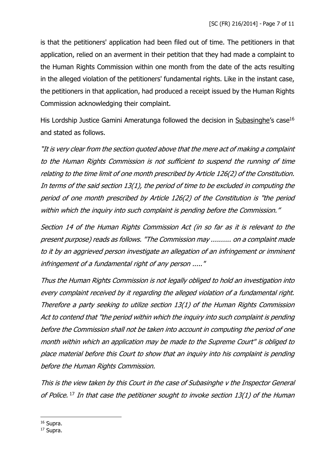is that the petitioners' application had been filed out of time. The petitioners in that application, relied on an averment in their petition that they had made a complaint to the Human Rights Commission within one month from the date of the acts resulting in the alleged violation of the petitioners' fundamental rights. Like in the instant case, the petitioners in that application, had produced a receipt issued by the Human Rights Commission acknowledging their complaint.

His Lordship Justice Gamini Ameratunga followed the decision in Subasinghe's case<sup>16</sup> and stated as follows.

"It is very clear from the section quoted above that the mere act of making a complaint to the Human Rights Commission is not sufficient to suspend the running of time relating to the time limit of one month prescribed by Article 126(2) of the Constitution. In terms of the said section 13(1), the period of time to be excluded in computing the period of one month prescribed by Article 126(2) of the Constitution is "the period within which the inquiry into such complaint is pending before the Commission."

Section 14 of the Human Rights Commission Act (in so far as it is relevant to the present purpose) reads as follows. "The Commission may .......... on a complaint made to it by an aggrieved person investigate an allegation of an infringement or imminent infringement of a fundamental right of any person ....."

Thus the Human Rights Commission is not legally obliged to hold an investigation into every complaint received by it regarding the alleged violation of a fundamental right. Therefore a party seeking to utilize section 13(1) of the Human Rights Commission Act to contend that "the period within which the inquiry into such complaint is pending before the Commission shall not be taken into account in computing the period of one month within which an application may be made to the Supreme Court" is obliged to place material before this Court to show that an inquiry into his complaint is pending before the Human Rights Commission.

This is the view taken by this Court in the case of Subasinghe v the Inspector General of Police. <sup>17</sup> In that case the petitioner sought to invoke section 13(1) of the Human

<sup>16</sup> Supra.

<sup>17</sup> Supra.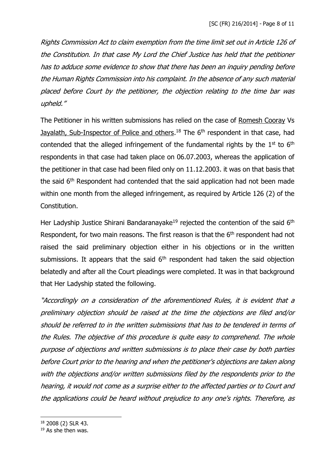Rights Commission Act to claim exemption from the time limit set out in Article 126 of the Constitution. In that case My Lord the Chief Justice has held that the petitioner has to adduce some evidence to show that there has been an inquiry pending before the Human Rights Commission into his complaint. In the absence of any such material placed before Court by the petitioner, the objection relating to the time bar was upheld."

The Petitioner in his written submissions has relied on the case of Romesh Cooray Vs Jayalath, Sub-Inspector of Police and others.<sup>18</sup> The 6<sup>th</sup> respondent in that case, had contended that the alleged infringement of the fundamental rights by the  $1<sup>st</sup>$  to  $6<sup>th</sup>$ respondents in that case had taken place on 06.07.2003, whereas the application of the petitioner in that case had been filed only on 11.12.2003. it was on that basis that the said 6<sup>th</sup> Respondent had contended that the said application had not been made within one month from the alleged infringement, as required by Article 126 (2) of the Constitution.

Her Ladyship Justice Shirani Bandaranayake<sup>19</sup> rejected the contention of the said  $6<sup>th</sup>$ Respondent, for two main reasons. The first reason is that the 6<sup>th</sup> respondent had not raised the said preliminary objection either in his objections or in the written submissions. It appears that the said  $6<sup>th</sup>$  respondent had taken the said objection belatedly and after all the Court pleadings were completed. It was in that background that Her Ladyship stated the following.

"Accordingly on a consideration of the aforementioned Rules, it is evident that a preliminary objection should be raised at the time the objections are filed and/or should be referred to in the written submissions that has to be tendered in terms of the Rules. The objective of this procedure is quite easy to comprehend. The whole purpose of objections and written submissions is to place their case by both parties before Court prior to the hearing and when the petitioner's objections are taken along with the objections and/or written submissions filed by the respondents prior to the hearing, it would not come as a surprise either to the affected parties or to Court and the applications could be heard without prejudice to any one's rights. Therefore, as

<sup>18</sup> 2008 (2) SLR 43.

 $19$  As she then was.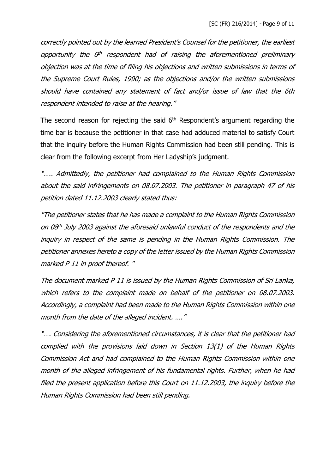correctly pointed out by the learned President's Counsel for the petitioner, the earliest opportunity the 6<sup>th</sup> respondent had of raising the aforementioned preliminary objection was at the time of filing his objections and written submissions in terms of the Supreme Court Rules, 1990; as the objections and/or the written submissions should have contained any statement of fact and/or issue of law that the 6th respondent intended to raise at the hearing."

The second reason for rejecting the said  $6<sup>th</sup>$  Respondent's argument regarding the time bar is because the petitioner in that case had adduced material to satisfy Court that the inquiry before the Human Rights Commission had been still pending. This is clear from the following excerpt from Her Ladyship's judgment.

"….. Admittedly, the petitioner had complained to the Human Rights Commission about the said infringements on 08.07.2003. The petitioner in paragraph 47 of his petition dated 11.12.2003 clearly stated thus:

"The petitioner states that he has made a complaint to the Human Rights Commission on 08<sup>th</sup> July 2003 against the aforesaid unlawful conduct of the respondents and the inquiry in respect of the same is pending in the Human Rights Commission. The petitioner annexes hereto a copy of the letter issued by the Human Rights Commission marked P 11 in proof thereof. "

The document marked P 11 is issued by the Human Rights Commission of Sri Lanka, which refers to the complaint made on behalf of the petitioner on 08.07.2003. Accordingly, a complaint had been made to the Human Rights Commission within one month from the date of the alleged incident. ...."

"…. Considering the aforementioned circumstances, it is clear that the petitioner had complied with the provisions laid down in Section 13(1) of the Human Rights Commission Act and had complained to the Human Rights Commission within one month of the alleged infringement of his fundamental rights. Further, when he had filed the present application before this Court on 11.12.2003, the inquiry before the Human Rights Commission had been still pending.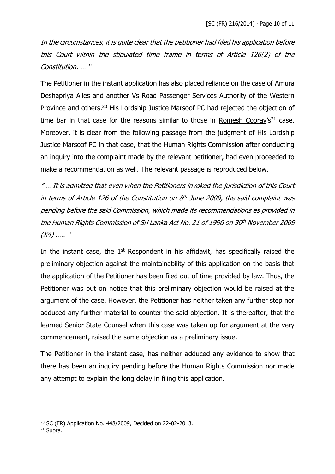In the circumstances, it is quite clear that the petitioner had filed his application before this Court within the stipulated time frame in terms of Article 126(2) of the Constitution. … "

The Petitioner in the instant application has also placed reliance on the case of Amura Deshapriya Alles and another Vs Road Passenger Services Authority of the Western Province and others.<sup>20</sup> His Lordship Justice Marsoof PC had rejected the objection of time bar in that case for the reasons similar to those in Romesh Cooray's<sup>21</sup> case. Moreover, it is clear from the following passage from the judgment of His Lordship Justice Marsoof PC in that case, that the Human Rights Commission after conducting an inquiry into the complaint made by the relevant petitioner, had even proceeded to make a recommendation as well. The relevant passage is reproduced below.

" … It is admitted that even when the Petitioners invoked the jurisdiction of this Court in terms of Article 126 of the Constitution on 8 th June 2009, the said complaint was pending before the said Commission, which made its recommendations as provided in the Human Rights Commission of Sri Lanka Act No. 21 of 1996 on 30th November 2009  $(X4)$  ….. "

In the instant case, the  $1<sup>st</sup>$  Respondent in his affidavit, has specifically raised the preliminary objection against the maintainability of this application on the basis that the application of the Petitioner has been filed out of time provided by law. Thus, the Petitioner was put on notice that this preliminary objection would be raised at the argument of the case. However, the Petitioner has neither taken any further step nor adduced any further material to counter the said objection. It is thereafter, that the learned Senior State Counsel when this case was taken up for argument at the very commencement, raised the same objection as a preliminary issue.

The Petitioner in the instant case, has neither adduced any evidence to show that there has been an inquiry pending before the Human Rights Commission nor made any attempt to explain the long delay in filing this application.

<sup>20</sup> SC (FR) Application No. 448/2009, Decided on 22-02-2013.

<sup>21</sup> Supra.